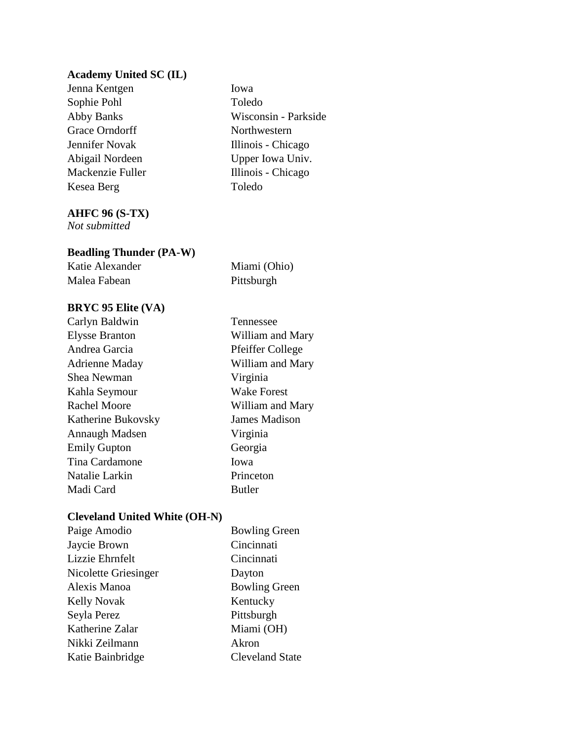## **Academy United SC (IL)**

Jenna Kentgen Iowa Sophie Pohl Toledo Grace Orndorff Northwestern Kesea Berg Toledo

Abby Banks Wisconsin - Parkside Jennifer Novak Illinois - Chicago Abigail Nordeen Upper Iowa Univ. Mackenzie Fuller Illinois - Chicago

## **AHFC 96 (S-TX)**

*Not submitted*

## **Beadling Thunder (PA-W)**

Katie Alexander Miami (Ohio) Malea Fabean **Pittsburgh** 

## **BRYC 95 Elite (VA)**

Carlyn Baldwin Tennessee Elysse Branton William and Mary Andrea Garcia Pfeiffer College Adrienne Maday William and Mary Shea Newman Virginia Kahla Seymour Wake Forest Rachel Moore William and Mary Katherine Bukovsky James Madison Annaugh Madsen Virginia Emily Gupton Georgia Tina Cardamone Iowa Natalie Larkin Princeton Madi Card Butler

### **Cleveland United White (OH-N)**

| Paige Amodio         | <b>Bowling Green</b>   |
|----------------------|------------------------|
| Jaycie Brown         | Cincinnati             |
| Lizzie Ehrnfelt      | Cincinnati             |
| Nicolette Griesinger | Dayton                 |
| Alexis Manoa         | <b>Bowling Green</b>   |
| <b>Kelly Novak</b>   | Kentucky               |
| Seyla Perez          | Pittsburgh             |
| Katherine Zalar      | Miami (OH)             |
| Nikki Zeilmann       | Akron                  |
| Katie Bainbridge     | <b>Cleveland State</b> |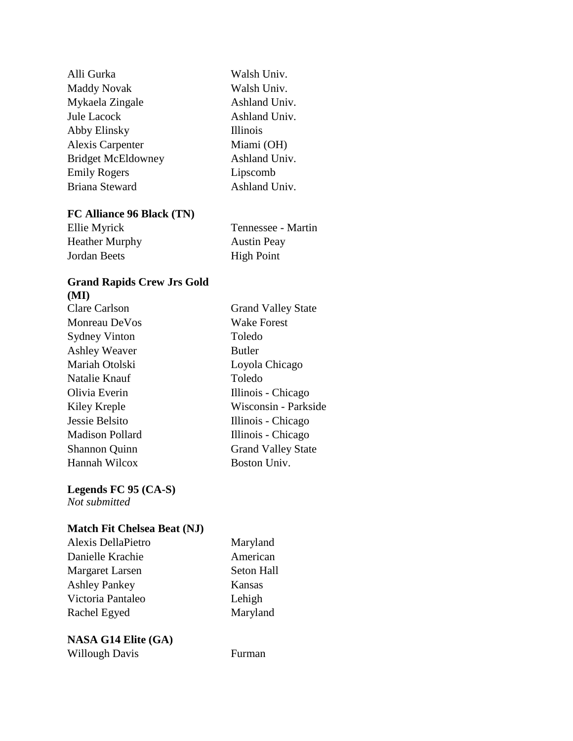| Alli Gurka                | Walsh Univ.     |
|---------------------------|-----------------|
| <b>Maddy Novak</b>        | Walsh Univ.     |
| Mykaela Zingale           | Ashland Univ.   |
| <b>Jule Lacock</b>        | Ashland Univ.   |
| Abby Elinsky              | <b>Illinois</b> |
| <b>Alexis Carpenter</b>   | Miami (OH)      |
| <b>Bridget McEldowney</b> | Ashland Univ.   |
| <b>Emily Rogers</b>       | Lipscomb        |
| <b>Briana Steward</b>     | Ashland Univ.   |

## **FC Alliance 96 Black (TN)**

| Ellie Myrick   | Tennessee - Martin |
|----------------|--------------------|
| Heather Murphy | <b>Austin Peay</b> |
| Jordan Beets   | <b>High Point</b>  |

## **Grand Rapids Crew Jrs Gold (MI)**

Clare Carlson Grand Valley State Monreau DeVos<br>Wake Forest Sydney Vinton Toledo Ashley Weaver Butler Mariah Otolski Loyola Chicago Natalie Knauf Toledo Olivia Everin Illinois - Chicago Kiley Kreple Wisconsin - Parkside Jessie Belsito Illinois - Chicago Madison Pollard Illinois - Chicago Shannon Quinn Grand Valley State Hannah Wilcox Boston Univ.

**Legends FC 95 (CA-S)**

*Not submitted*

## **Match Fit Chelsea Beat (NJ)**

Alexis DellaPietro Maryland Danielle Krachie American Margaret Larsen Seton Hall Ashley Pankey Kansas Victoria Pantaleo Lehigh Rachel Egyed Maryland

# **NASA G14 Elite (GA)**

Willough Davis Furman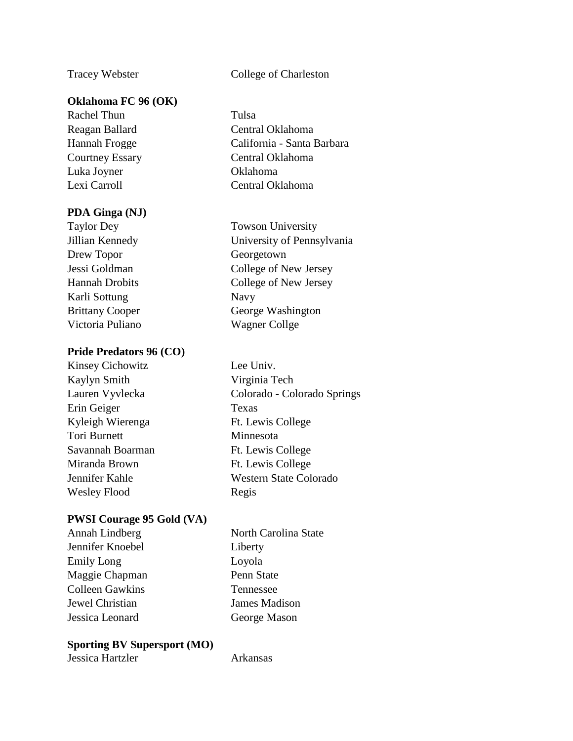## **Oklahoma FC 96 (OK)**

Rachel Thun Tulsa Luka Joyner Oklahoma

## **PDA Ginga (NJ)**

Drew Topor Georgetown Karli Sottung Navy Victoria Puliano Wagner Collge

## **Pride Predators 96 (CO)**

Kinsey Cichowitz Lee Univ. Kaylyn Smith Virginia Tech Erin Geiger Texas Kyleigh Wierenga Ft. Lewis College Tori Burnett Minnesota Savannah Boarman Ft. Lewis College Miranda Brown Ft. Lewis College Wesley Flood Regis

## **PWSI Courage 95 Gold (VA)**

| Annah Lindberg         | North Card |
|------------------------|------------|
| Jennifer Knoebel       | Liberty    |
| Emily Long             | Loyola     |
| Maggie Chapman         | Penn State |
| <b>Colleen Gawkins</b> | Tennessee  |
| Jewel Christian        | James Maq  |
| Jessica Leonard        | George Ma  |
|                        |            |

## **Sporting BV Supersport (MO)**

Jessica Hartzler **Arkansas** 

Tracey Webster College of Charleston

Reagan Ballard Central Oklahoma Hannah Frogge California - Santa Barbara Courtney Essary Central Oklahoma Lexi Carroll **Central Oklahoma** 

Taylor Dey Towson University Jillian Kennedy University of Pennsylvania Jessi Goldman College of New Jersey Hannah Drobits College of New Jersey Brittany Cooper George Washington

Lauren Vyvlecka Colorado - Colorado Springs Jennifer Kahle Western State Colorado

> arolina State ladison Mason